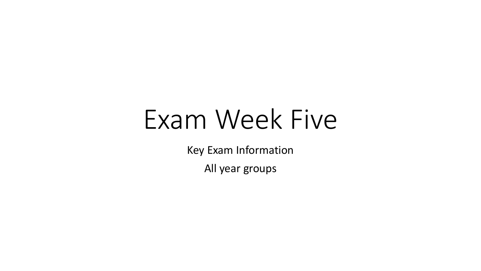## Exam Week Five

Key Exam Information

All year groups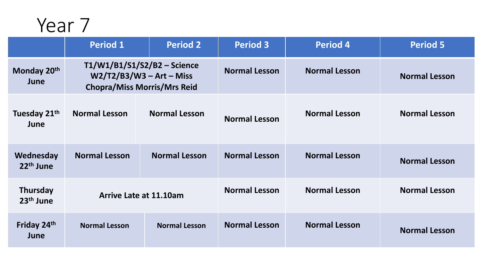|                                  | <b>Period 1</b>                                                                                 | <b>Period 2</b>      | <b>Period 3</b>      | <b>Period 4</b>      | <b>Period 5</b>      |
|----------------------------------|-------------------------------------------------------------------------------------------------|----------------------|----------------------|----------------------|----------------------|
| Monday 20th<br>June              | T1/W1/B1/S1/S2/B2 - Science<br>$W2/T2/B3/W3 - Art - Miss$<br><b>Chopra/Miss Morris/Mrs Reid</b> |                      | <b>Normal Lesson</b> | <b>Normal Lesson</b> | <b>Normal Lesson</b> |
| Tuesday 21 <sup>th</sup><br>June | <b>Normal Lesson</b>                                                                            | <b>Normal Lesson</b> | <b>Normal Lesson</b> | <b>Normal Lesson</b> | <b>Normal Lesson</b> |
| Wednesday<br>$22th$ June         | <b>Normal Lesson</b>                                                                            | <b>Normal Lesson</b> | <b>Normal Lesson</b> | <b>Normal Lesson</b> | <b>Normal Lesson</b> |
| <b>Thursday</b><br>$23th$ June   | Arrive Late at 11.10am                                                                          |                      | <b>Normal Lesson</b> | <b>Normal Lesson</b> | <b>Normal Lesson</b> |
| Friday 24th<br>June              | <b>Normal Lesson</b>                                                                            | <b>Normal Lesson</b> | <b>Normal Lesson</b> | <b>Normal Lesson</b> | <b>Normal Lesson</b> |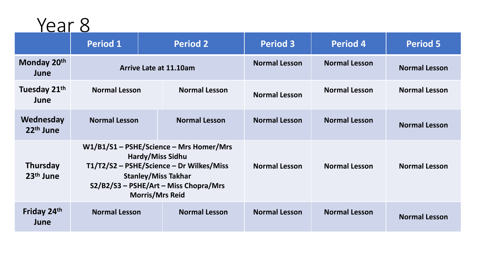|                                          | <b>Period 1</b>                                                                                                                                                                                                 | <b>Period 2</b>      | <b>Period 3</b>      | <b>Period 4</b>      | <b>Period 5</b>      |
|------------------------------------------|-----------------------------------------------------------------------------------------------------------------------------------------------------------------------------------------------------------------|----------------------|----------------------|----------------------|----------------------|
| Monday 20th<br>June                      | <b>Arrive Late at 11.10am</b>                                                                                                                                                                                   |                      | <b>Normal Lesson</b> | <b>Normal Lesson</b> | <b>Normal Lesson</b> |
| Tuesday 21 <sup>th</sup><br>June         | <b>Normal Lesson</b>                                                                                                                                                                                            | <b>Normal Lesson</b> | <b>Normal Lesson</b> | <b>Normal Lesson</b> | <b>Normal Lesson</b> |
| Wednesday<br>$22th$ June                 | <b>Normal Lesson</b>                                                                                                                                                                                            | <b>Normal Lesson</b> | <b>Normal Lesson</b> | <b>Normal Lesson</b> | <b>Normal Lesson</b> |
| <b>Thursday</b><br>23 <sup>th</sup> June | W1/B1/S1 - PSHE/Science - Mrs Homer/Mrs<br><b>Hardy/Miss Sidhu</b><br>T1/T2/S2 - PSHE/Science - Dr Wilkes/Miss<br><b>Stanley/Miss Takhar</b><br>S2/B2/S3 - PSHE/Art - Miss Chopra/Mrs<br><b>Morris/Mrs Reid</b> |                      | <b>Normal Lesson</b> | <b>Normal Lesson</b> | <b>Normal Lesson</b> |
| Friday 24th<br>June                      | <b>Normal Lesson</b>                                                                                                                                                                                            | <b>Normal Lesson</b> | <b>Normal Lesson</b> | <b>Normal Lesson</b> | <b>Normal Lesson</b> |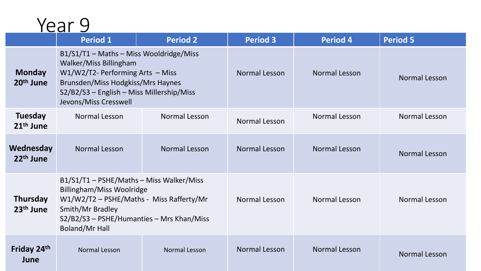| ⌒ | ar |  |
|---|----|--|
|   |    |  |

|                                          | <b>Period 1</b>                                                                                                                                                                                                     | <b>Period 2</b>      | <b>Period 3</b> | <b>Period 4</b>      | <b>Period 5</b> |
|------------------------------------------|---------------------------------------------------------------------------------------------------------------------------------------------------------------------------------------------------------------------|----------------------|-----------------|----------------------|-----------------|
| <b>Monday</b><br>20 <sup>th</sup> June   | B1/S1/T1 - Maths - Miss Wooldridge/Miss<br>Walker/Miss Billingham<br>$W1/W2/T2$ - Performing Arts – Miss<br>Brunsden/Miss Hodgkiss/Mrs Haynes<br>S2/B2/S3 - English - Miss Millership/Miss<br>Jevons/Miss Cresswell |                      | Normal Lesson   | <b>Normal Lesson</b> | Normal Lesson   |
| <b>Tuesday</b><br>21 <sup>th</sup> June  | <b>Normal Lesson</b>                                                                                                                                                                                                | Normal Lesson        | Normal Lesson   | Normal Lesson        | Normal Lesson   |
| Wednesday<br>22 <sup>th</sup> June       | Normal Lesson                                                                                                                                                                                                       | <b>Normal Lesson</b> | Normal Lesson   | <b>Normal Lesson</b> | Normal Lesson   |
| <b>Thursday</b><br>23 <sup>th</sup> June | B1/S1/T1 - PSHE/Maths - Miss Walker/Miss<br>Billingham/Miss Woolridge<br>W1/W2/T2 - PSHE/Maths - Miss Rafferty/Mr<br>Smith/Mr Bradley<br>S2/B2/S3 - PSHE/Humanties - Mrs Khan/Miss<br><b>Boland/Mr Hall</b>         |                      | Normal Lesson   | <b>Normal Lesson</b> | Normal Lesson   |
| Friday 24th<br>June                      | <b>Normal Lesson</b>                                                                                                                                                                                                | <b>Normal Lesson</b> | Normal Lesson   | <b>Normal Lesson</b> | Normal Lesson   |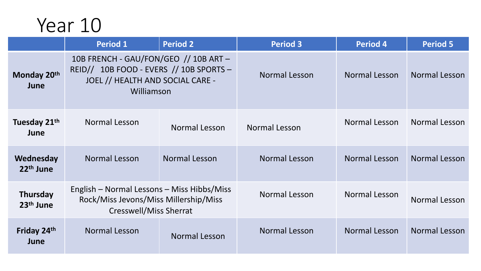|                                          | <b>Period 1</b>                                                                                                                   | <b>Period 2</b> | <b>Period 3</b> | <b>Period 4</b> | <b>Period 5</b> |
|------------------------------------------|-----------------------------------------------------------------------------------------------------------------------------------|-----------------|-----------------|-----------------|-----------------|
| Monday 20th<br>June                      | 10B FRENCH - GAU/FON/GEO // 10B ART-<br>REID// 10B FOOD - EVERS // 10B SPORTS -<br>JOEL // HEALTH AND SOCIAL CARE -<br>Williamson |                 | Normal Lesson   | Normal Lesson   | Normal Lesson   |
| Tuesday 21 <sup>th</sup><br>June         | Normal Lesson                                                                                                                     | Normal Lesson   | Normal Lesson   | Normal Lesson   | Normal Lesson   |
| Wednesday<br>22 <sup>th</sup> June       | Normal Lesson                                                                                                                     | Normal Lesson   | Normal Lesson   | Normal Lesson   | Normal Lesson   |
| <b>Thursday</b><br>23 <sup>th</sup> June | English – Normal Lessons – Miss Hibbs/Miss<br>Rock/Miss Jevons/Miss Millership/Miss<br>Cresswell/Miss Sherrat                     |                 | Normal Lesson   | Normal Lesson   | Normal Lesson   |
| Friday 24th<br>June                      | Normal Lesson                                                                                                                     | Normal Lesson   | Normal Lesson   | Normal Lesson   | Normal Lesson   |